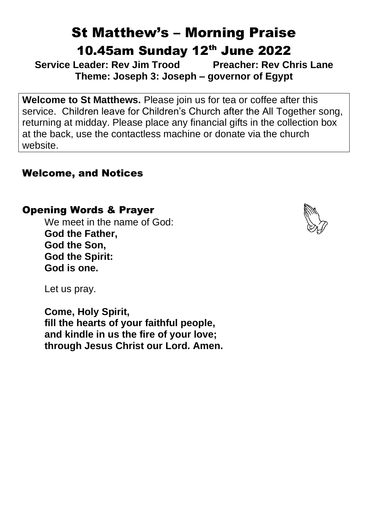# St Matthew's – Morning Praise 10.45am Sunday 12th June 2022

**Service Leader: Rev Jim Trood Preacher: Rev Chris Lane Theme: Joseph 3: Joseph – governor of Egypt**

**Welcome to St Matthews.** Please join us for tea or coffee after this service. Children leave for Children's Church after the All Together song, returning at midday. Please place any financial gifts in the collection box at the back, use the contactless machine or donate via the church website.

### Welcome, and Notices

# Opening Words & Prayer

We meet in the name of God: **God the Father, God the Son, God the Spirit: God is one.**

Let us pray.

**Come, Holy Spirit, fill the hearts of your faithful people, and kindle in us the fire of your love; through Jesus Christ our Lord. Amen.**

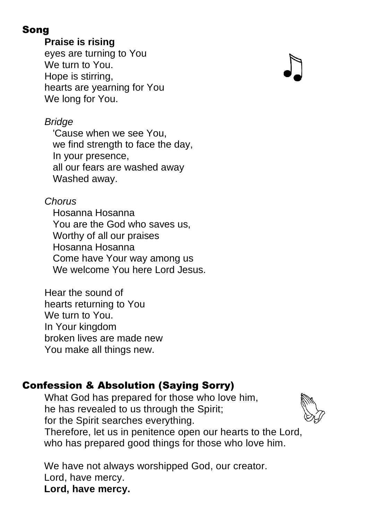# Song

### **Praise is rising**

eyes are turning to You We turn to You. Hope is stirring, hearts are yearning for You We long for You.

# *Bridge*

 'Cause when we see You, we find strength to face the day, In your presence, all our fears are washed away Washed away.

# *Chorus*

 Hosanna Hosanna You are the God who saves us, Worthy of all our praises Hosanna Hosanna Come have Your way among us We welcome You here Lord Jesus.

Hear the sound of hearts returning to You We turn to You. In Your kingdom broken lives are made new You make all things new.

# Confession & Absolution (Saying Sorry)

What God has prepared for those who love him, he has revealed to us through the Spirit; for the Spirit searches everything.



Therefore, let us in penitence open our hearts to the Lord, who has prepared good things for those who love him.

We have not always worshipped God, our creator. Lord, have mercy. **Lord, have mercy.**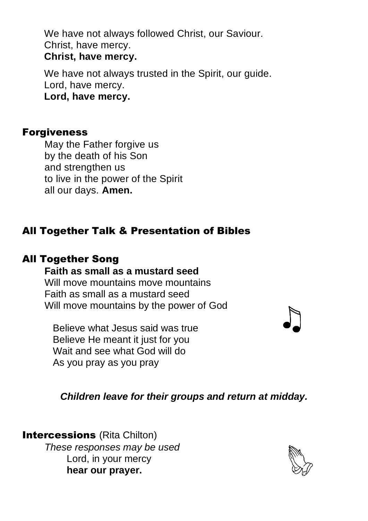We have not always followed Christ, our Saviour. Christ, have mercy. **Christ, have mercy.**

We have not always trusted in the Spirit, our guide. Lord, have mercy. **Lord, have mercy.**

#### Forgiveness

May the Father forgive us by the death of his Son and strengthen us to live in the power of the Spirit all our days. **Amen.**

# All Together Talk & Presentation of Bibles

#### All Together Song

**Faith as small as a mustard seed**

Will move mountains move mountains Faith as small as a mustard seed Will move mountains by the power of God

 Believe what Jesus said was true Believe He meant it just for you Wait and see what God will do As you pray as you pray

*Children leave for their groups and return at midday.*

**Intercessions** (Rita Chilton) *These responses may be used* Lord, in your mercy **hear our prayer.**

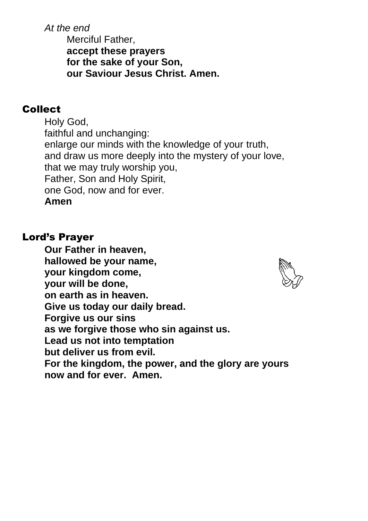*At the end*

Merciful Father, **accept these prayers for the sake of your Son, our Saviour Jesus Christ. Amen.**

#### Collect

Holy God, faithful and unchanging: enlarge our minds with the knowledge of your truth, and draw us more deeply into the mystery of your love, that we may truly worship you, Father, Son and Holy Spirit, one God, now and for ever. **Amen**

#### Lord's Prayer

**Our Father in heaven, hallowed be your name, your kingdom come, your will be done, on earth as in heaven. Give us today our daily bread. Forgive us our sins as we forgive those who sin against us. Lead us not into temptation but deliver us from evil. For the kingdom, the power, and the glory are yours now and for ever. Amen.**

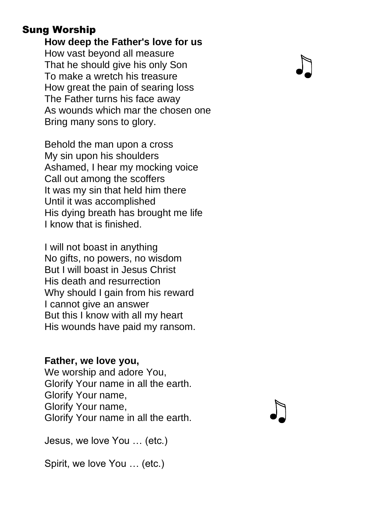# Sung Worship

**How deep the Father's love for us** How vast beyond all measure That he should give his only Son To make a wretch his treasure How great the pain of searing loss The Father turns his face away As wounds which mar the chosen one Bring many sons to glory.

Behold the man upon a cross My sin upon his shoulders Ashamed, I hear my mocking voice Call out among the scoffers It was my sin that held him there Until it was accomplished His dying breath has brought me life I know that is finished.

I will not boast in anything No gifts, no powers, no wisdom But I will boast in Jesus Christ His death and resurrection Why should I gain from his reward I cannot give an answer But this I know with all my heart His wounds have paid my ransom.

#### **Father, we love you,**

We worship and adore You, Glorify Your name in all the earth. Glorify Your name, Glorify Your name, Glorify Your name in all the earth.

Jesus, we love You … (etc.)

Spirit, we love You … (etc.)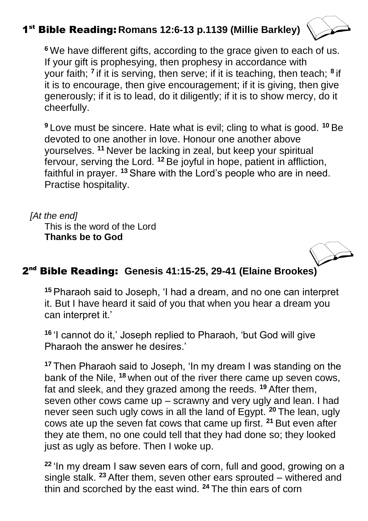# 1 st Bible Reading: **Romans 12:6-13 p.1139 (Millie Barkley)**

**<sup>6</sup>** We have different gifts, according to the grace given to each of us. If your gift is prophesying, then prophesy in accordance with your faith; <sup>7</sup> if it is serving, then serve; if it is teaching, then teach; <sup>8</sup> if it is to encourage, then give encouragement; if it is giving, then give generously; if it is to lead, do it diligently; if it is to show mercy, do it cheerfully.

**<sup>9</sup>** Love must be sincere. Hate what is evil; cling to what is good. **<sup>10</sup>** Be devoted to one another in love. Honour one another above yourselves. **<sup>11</sup>** Never be lacking in zeal, but keep your spiritual fervour, serving the Lord. **<sup>12</sup>** Be joyful in hope, patient in affliction, faithful in prayer. **<sup>13</sup>** Share with the Lord's people who are in need. Practise hospitality.

 *[At the end]* This is the word of the Lord **Thanks be to God**

# 2 nd Bible Reading: **Genesis 41:15-25, 29-41 (Elaine Brookes)**

**<sup>15</sup>** Pharaoh said to Joseph, 'I had a dream, and no one can interpret it. But I have heard it said of you that when you hear a dream you can interpret it.'

**<sup>16</sup>** 'I cannot do it,' Joseph replied to Pharaoh, 'but God will give Pharaoh the answer he desires.'

**<sup>17</sup>** Then Pharaoh said to Joseph, 'In my dream I was standing on the bank of the Nile, **<sup>18</sup>** when out of the river there came up seven cows, fat and sleek, and they grazed among the reeds. **<sup>19</sup>** After them, seven other cows came up – scrawny and very ugly and lean. I had never seen such ugly cows in all the land of Egypt. **<sup>20</sup>** The lean, ugly cows ate up the seven fat cows that came up first. **<sup>21</sup>** But even after they ate them, no one could tell that they had done so; they looked just as ugly as before. Then I woke up.

**<sup>22</sup>** 'In my dream I saw seven ears of corn, full and good, growing on a single stalk. **<sup>23</sup>** After them, seven other ears sprouted – withered and thin and scorched by the east wind. **<sup>24</sup>** The thin ears of corn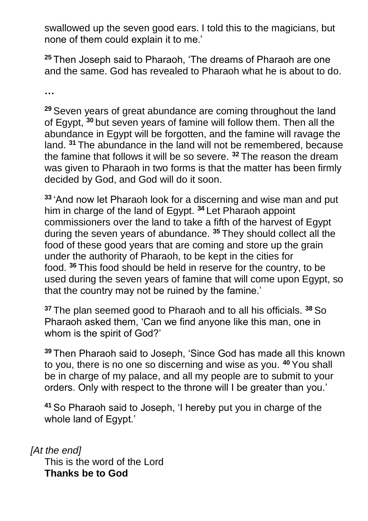swallowed up the seven good ears. I told this to the magicians, but none of them could explain it to me.'

**<sup>25</sup>** Then Joseph said to Pharaoh, 'The dreams of Pharaoh are one and the same. God has revealed to Pharaoh what he is about to do.

**…**

**<sup>29</sup>** Seven years of great abundance are coming throughout the land of Egypt, **<sup>30</sup>** but seven years of famine will follow them. Then all the abundance in Egypt will be forgotten, and the famine will ravage the land. **<sup>31</sup>** The abundance in the land will not be remembered, because the famine that follows it will be so severe. **<sup>32</sup>** The reason the dream was given to Pharaoh in two forms is that the matter has been firmly decided by God, and God will do it soon.

**<sup>33</sup>** 'And now let Pharaoh look for a discerning and wise man and put him in charge of the land of Egypt. **<sup>34</sup>** Let Pharaoh appoint commissioners over the land to take a fifth of the harvest of Egypt during the seven years of abundance. **<sup>35</sup>** They should collect all the food of these good years that are coming and store up the grain under the authority of Pharaoh, to be kept in the cities for food. **<sup>36</sup>** This food should be held in reserve for the country, to be used during the seven years of famine that will come upon Egypt, so that the country may not be ruined by the famine.'

**<sup>37</sup>** The plan seemed good to Pharaoh and to all his officials. **<sup>38</sup>** So Pharaoh asked them, 'Can we find anyone like this man, one in whom is the spirit of God?'

**<sup>39</sup>** Then Pharaoh said to Joseph, 'Since God has made all this known to you, there is no one so discerning and wise as you. **<sup>40</sup>** You shall be in charge of my palace, and all my people are to submit to your orders. Only with respect to the throne will I be greater than you.'

**<sup>41</sup>** So Pharaoh said to Joseph, 'I hereby put you in charge of the whole land of Egypt.'

 *[At the end]* This is the word of the Lord **Thanks be to God**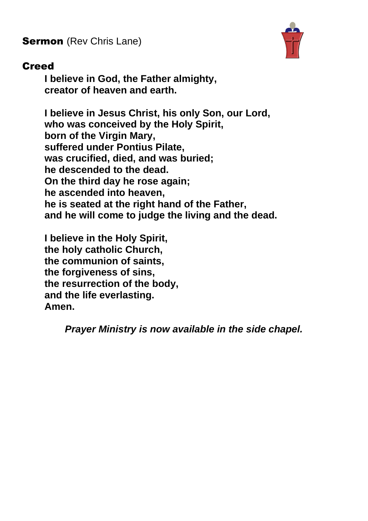**Sermon** (Rev Chris Lane)



#### **Creed**

**I believe in God, the Father almighty, creator of heaven and earth.**

**I believe in Jesus Christ, his only Son, our Lord, who was conceived by the Holy Spirit, born of the Virgin Mary, suffered under Pontius Pilate, was crucified, died, and was buried; he descended to the dead. On the third day he rose again; he ascended into heaven, he is seated at the right hand of the Father, and he will come to judge the living and the dead.**

**I believe in the Holy Spirit, the holy catholic Church, the communion of saints, the forgiveness of sins, the resurrection of the body, and the life everlasting. Amen.**

*Prayer Ministry is now available in the side chapel.*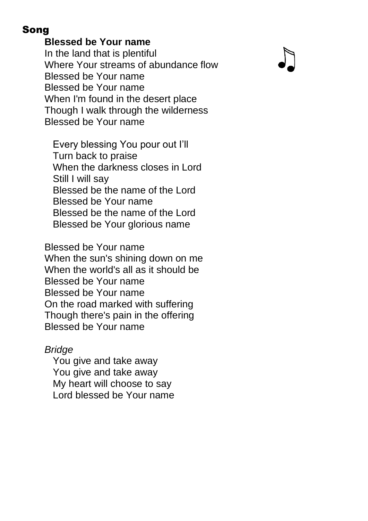# Song

#### **Blessed be Your name**

In the land that is plentiful Where Your streams of abundance flow Blessed be Your name Blessed be Your name When I'm found in the desert place Though I walk through the wilderness Blessed be Your name

 Every blessing You pour out I'll Turn back to praise When the darkness closes in Lord Still I will sav Blessed be the name of the Lord Blessed be Your name Blessed be the name of the Lord Blessed be Your glorious name

Blessed be Your name When the sun's shining down on me When the world's all as it should be Blessed be Your name Blessed be Your name On the road marked with suffering Though there's pain in the offering Blessed be Your name

#### *Bridge*

 You give and take away You give and take away My heart will choose to say Lord blessed be Your name